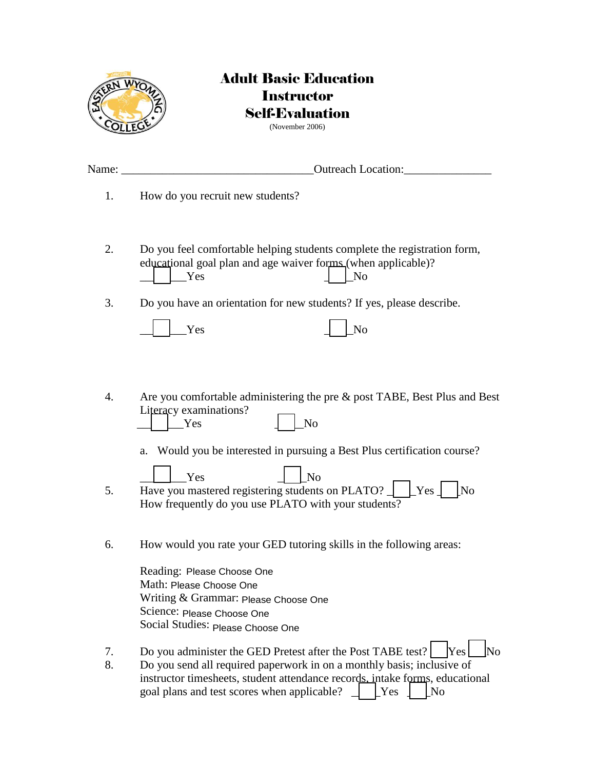

## Adult Basic Education **Instructor** Self-Evaluation (November 2006)

Name: the contraction of the contraction of the contraction:  $\overline{O}$  outreach Location: 1. How do you recruit new students? 2. Do you feel comfortable helping students complete the registration form, educational goal plan and age waiver forms (when applicable)? Yes and  $\overline{N}$  and  $\overline{N}$  and  $\overline{N}$  and  $\overline{N}$  and  $\overline{N}$  and  $\overline{N}$  and  $\overline{N}$  and  $\overline{N}$  and  $\overline{N}$  and  $\overline{N}$  and  $\overline{N}$  and  $\overline{N}$  and  $\overline{N}$  and  $\overline{N}$  and  $\overline{N}$  and  $\overline{N}$  and  $\overline{N$ 3. Do you have an orientation for new students? If yes, please describe.

| Y AV | NL     |
|------|--------|
|      | $\Box$ |

4. Are you comfortable administering the pre & post TABE, Best Plus and Best Literacy examinations? Yes and  $\overline{a}$  No

a. Would you be interested in pursuing a Best Plus certification course?

- $\Box$  Yes  $\Box$  No 5. Have you mastered registering students on PLATO?  $\Box$  [Yes  $\Box$  [No How frequently do you use PLATO with your students?
- 6. How would you rate your GED tutoring skills in the following areas:

| Reading: Please Choose One           |
|--------------------------------------|
| Math: Please Choose One              |
| Writing & Grammar: Please Choose One |
| Science: Please Choose One           |
| Social Studies: Please Choose One    |

7. Do you administer the GED Pretest after the Post TABE test?  $\begin{bmatrix} \text{Yes} \end{bmatrix}$  No 8. Do you send all required paperwork in on a monthly basis; inclusive of instructor timesheets, student attendance records, intake forms, educational goal plans and test scores when applicable?  $\Box$  [Yes  $\Box$  [No